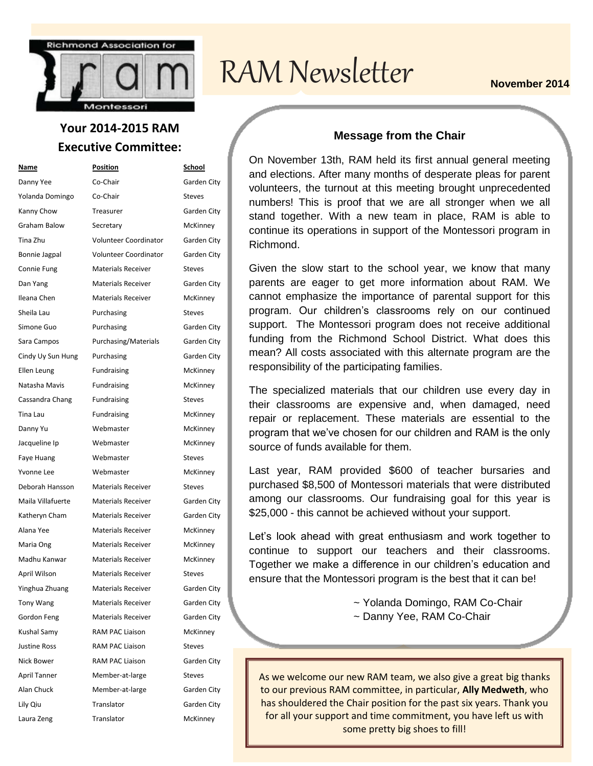

### **Your 2014-2015 RAM Executive Committee:**

| Name                | <b>Position</b>           | <u>School</u> |
|---------------------|---------------------------|---------------|
| Danny Yee           | Co-Chair                  | Garden City   |
| Yolanda Domingo     | Co-Chair                  | <b>Steves</b> |
| Kanny Chow          | Treasurer                 | Garden City   |
| <b>Graham Balow</b> | Secretary                 | McKinney      |
| Tina Zhu            | Volunteer Coordinator     | Garden City   |
| Bonnie Jagpal       | Volunteer Coordinator     | Garden City   |
| Connie Fung         | <b>Materials Receiver</b> | <b>Steves</b> |
| Dan Yang            | <b>Materials Receiver</b> | Garden City   |
| Ileana Chen         | <b>Materials Receiver</b> | McKinney      |
| Sheila Lau          | Purchasing                | <b>Steves</b> |
| Simone Guo          | Purchasing                | Garden City   |
| Sara Campos         | Purchasing/Materials      | Garden City   |
| Cindy Uy Sun Hung   | Purchasing                | Garden City   |
| Ellen Leung         | Fundraising               | McKinney      |
| Natasha Mavis       | Fundraising               | McKinney      |
| Cassandra Chang     | <b>Fundraising</b>        | <b>Steves</b> |
| Tina Lau            | <b>Fundraising</b>        | McKinney      |
| Danny Yu            | Webmaster                 | McKinney      |
| Jacqueline Ip       | Webmaster                 | McKinney      |
| Faye Huang          | Webmaster                 | <b>Steves</b> |
| Yvonne Lee          | Webmaster                 | McKinney      |
| Deborah Hansson     | <b>Materials Receiver</b> | <b>Steves</b> |
| Maila Villafuerte   | <b>Materials Receiver</b> | Garden City   |
| Katheryn Cham       | <b>Materials Receiver</b> | Garden City   |
| Alana Yee           | <b>Materials Receiver</b> | McKinney      |
| Maria Ong           | <b>Materials Receiver</b> | McKinney      |
| Madhu Kanwar        | <b>Materials Receiver</b> | McKinney      |
| April Wilson        | <b>Materials Receiver</b> | <b>Steves</b> |
| Yinghua Zhuang      | <b>Materials Receiver</b> | Garden City   |
| Tony Wang           | <b>Materials Receiver</b> | Garden City   |
| Gordon Feng         | <b>Materials Receiver</b> | Garden City   |
| Kushal Samy         | <b>RAM PAC Liaison</b>    | McKinney      |
| <b>Justine Ross</b> | <b>RAM PAC Liaison</b>    | <b>Steves</b> |
| Nick Bower          | RAM PAC Liaison           | Garden City   |
| April Tanner        | Member-at-large           | <b>Steves</b> |
| Alan Chuck          | Member-at-large           | Garden City   |
| Lily Qiu            | Translator                | Garden City   |
| Laura Zeng          | Translator                | McKinney      |

# RAM Newsletter **November 2014**

#### **Message from the Chair**

On November 13th, RAM held its first annual general meeting and elections. After many months of desperate pleas for parent volunteers, the turnout at this meeting brought unprecedented numbers! This is proof that we are all stronger when we all stand together. With a new team in place, RAM is able to continue its operations in support of the Montessori program in Richmond.

Given the slow start to the school year, we know that many parents are eager to get more information about RAM. We cannot emphasize the importance of parental support for this program. Our children's classrooms rely on our continued support. The Montessori program does not receive additional funding from the Richmond School District. What does this mean? All costs associated with this alternate program are the responsibility of the participating families.

The specialized materials that our children use every day in their classrooms are expensive and, when damaged, need repair or replacement. These materials are essential to the program that we've chosen for our children and RAM is the only source of funds available for them.

Last year, RAM provided \$600 of teacher bursaries and purchased \$8,500 of Montessori materials that were distributed among our classrooms. Our fundraising goal for this year is \$25,000 - this cannot be achieved without your support.

Let's look ahead with great enthusiasm and work together to continue to support our teachers and their classrooms. Together we make a difference in our children's education and ensure that the Montessori program is the best that it can be!

- ~ Yolanda Domingo, RAM Co-Chair
- ~ Danny Yee, RAM Co-Chair

As we welcome our new RAM team, we also give a great big thanks to our previous RAM committee, in particular, **Ally Medweth**, who has shouldered the Chair position for the past six years. Thank you for all your support and time commitment, you have left us with some pretty big shoes to fill!